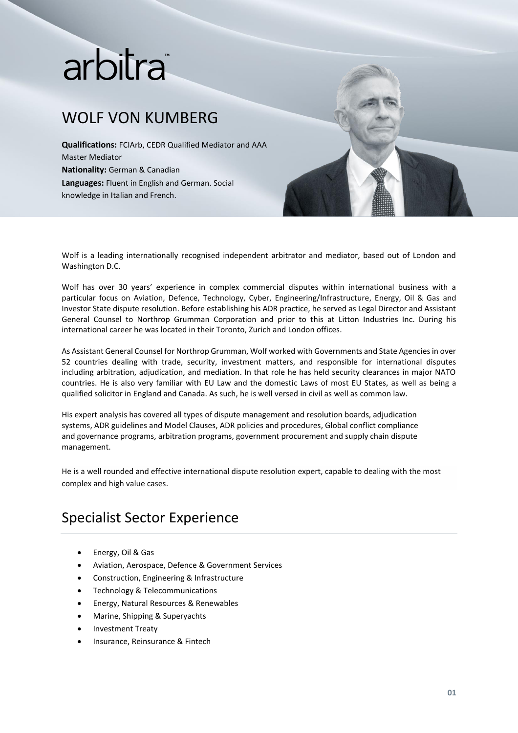# arbitra

## WOLF VON KUMBERG

**Qualifications:** FCIArb, CEDR Qualified Mediator and AAA Master Mediator **Nationality:** German & Canadian **Languages:** Fluent in English and German. Social knowledge in Italian and French.



Wolf is a leading internationally recognised independent arbitrator and mediator, based out of London and Washington D.C.

Wolf has over 30 years' experience in complex commercial disputes within international business with a particular focus on Aviation, Defence, Technology, Cyber, Engineering/Infrastructure, Energy, Oil & Gas and Investor State dispute resolution. Before establishing his ADR practice, he served as Legal Director and Assistant General Counsel to Northrop Grumman Corporation and prior to this at Litton Industries Inc. During his international career he was located in their Toronto, Zurich and London offices.

As Assistant General Counsel for Northrop Grumman, Wolf worked with Governments and State Agencies in over 52 countries dealing with trade, security, investment matters, and responsible for international disputes including arbitration, adjudication, and mediation. In that role he has held security clearances in major NATO countries. He is also very familiar with EU Law and the domestic Laws of most EU States, as well as being a qualified solicitor in England and Canada. As such, he is well versed in civil as well as common law.

His expert analysis has covered all types of dispute management and resolution boards, adjudication systems, ADR guidelines and Model Clauses, ADR policies and procedures, Global conflict compliance and governance programs, arbitration programs, government procurement and supply chain dispute management.

He is a well rounded and effective international dispute resolution expert, capable to dealing with the most complex and high value cases.

### Specialist Sector Experience

- Energy, Oil & Gas
- Aviation, Aerospace, Defence & Government Services
- Construction, Engineering & Infrastructure
- Technology & Telecommunications
- Energy, Natural Resources & Renewables
- Marine, Shipping & Superyachts
- Investment Treaty
- Insurance, Reinsurance & Fintech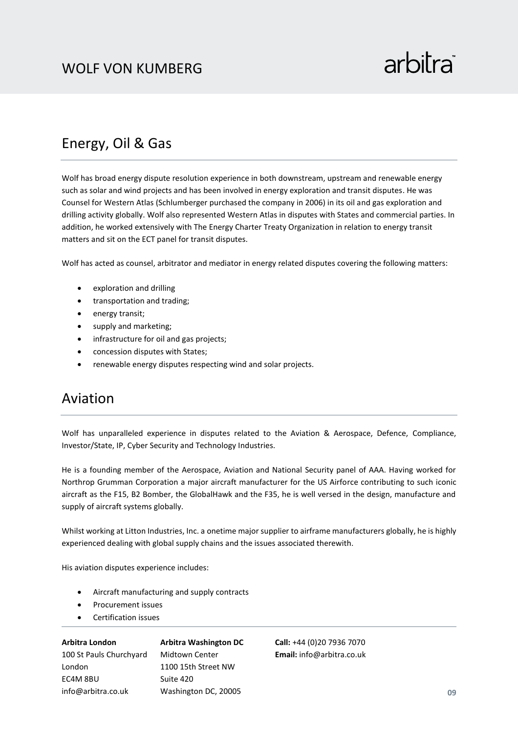#### Energy, Oil & Gas

Wolf has broad energy dispute resolution experience in both downstream, upstream and renewable energy such as solar and wind projects and has been involved in energy exploration and transit disputes. He was Counsel for Western Atlas (Schlumberger purchased the company in 2006) in its oil and gas exploration and drilling activity globally. Wolf also represented Western Atlas in disputes with States and commercial parties. In addition, he worked extensively with The Energy Charter Treaty Organization in relation to energy transit matters and sit on the ECT panel for transit disputes.

Wolf has acted as counsel, arbitrator and mediator in energy related disputes covering the following matters:

- exploration and drilling
- transportation and trading;
- energy transit;
- supply and marketing;
- infrastructure for oil and gas projects;
- concession disputes with States;
- renewable energy disputes respecting wind and solar projects.

### Aviation

Wolf has unparalleled experience in disputes related to the Aviation & Aerospace, Defence, Compliance, Investor/State, IP, Cyber Security and Technology Industries.

He is a founding member of the Aerospace, Aviation and National Security panel of AAA. Having worked for Northrop Grumman Corporation a major aircraft manufacturer for the US Airforce contributing to such iconic aircraft as the F15, B2 Bomber, the GlobalHawk and the F35, he is well versed in the design, manufacture and supply of aircraft systems globally.

Whilst working at Litton Industries, Inc. a onetime major supplier to airframe manufacturers globally, he is highly experienced dealing with global supply chains and the issues associated therewith.

His aviation disputes experience includes:

- Aircraft manufacturing and supply contracts
- Procurement issues
- Certification issues

**Arbitra London** 100 St Pauls Churchyard London EC4M 8BU info@arbitra.co.uk **Arbitra Washington DC** Midtown Center 1100 15th Street NW Suite 420 Washington DC, 20005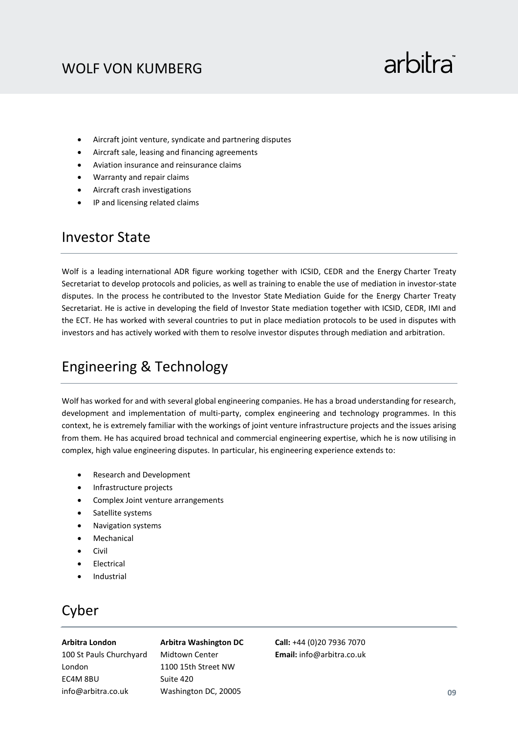## arbitra

- Aircraft joint venture, syndicate and partnering disputes
- Aircraft sale, leasing and financing agreements
- Aviation insurance and reinsurance claims
- Warranty and repair claims
- Aircraft crash investigations
- IP and licensing related claims

#### Investor State

Wolf is a leading international ADR figure working together with ICSID, CEDR and the Energy Charter Treaty Secretariat to develop protocols and policies, as well as training to enable the use of mediation in investor-state disputes. In the process he contributed to the Investor State Mediation Guide for the Energy Charter Treaty Secretariat. He is active in developing the field of Investor State mediation together with ICSID, CEDR, IMI and the ECT. He has worked with several countries to put in place mediation protocols to be used in disputes with investors and has actively worked with them to resolve investor disputes through mediation and arbitration.

## Engineering & Technology

Wolf has worked for and with several global engineering companies. He has a broad understanding for research, development and implementation of multi-party, complex engineering and technology programmes. In this context, he is extremely familiar with the workings of joint venture infrastructure projects and the issues arising from them. He has acquired broad technical and commercial engineering expertise, which he is now utilising in complex, high value engineering disputes. In particular, his engineering experience extends to:

- Research and Development
- Infrastructure projects
- Complex Joint venture arrangements
- Satellite systems
- Navigation systems
- **Mechanical**
- Civil
- **Electrical**
- **Industrial**

### Cyber

#### **Arbitra London**

100 St Pauls Churchyard London EC4M 8BU

info@arbitra.co.uk

#### **Arbitra Washington DC** Midtown Center 1100 15th Street NW Suite 420 Washington DC, 20005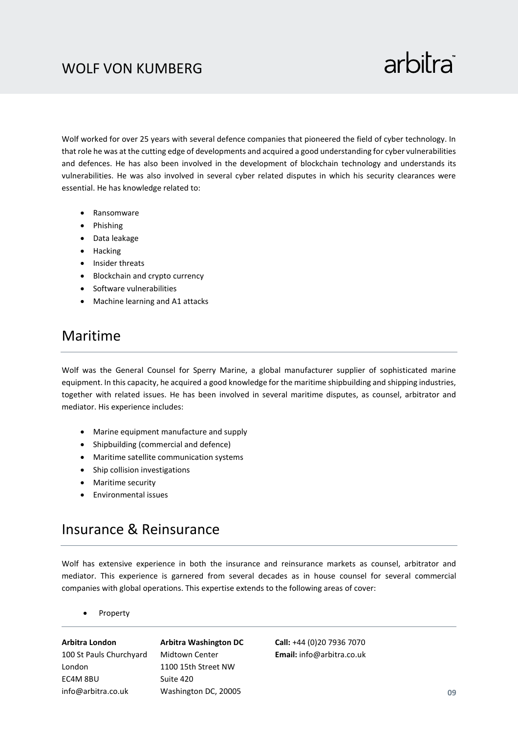## arbitra

Wolf worked for over 25 years with several defence companies that pioneered the field of cyber technology. In that role he was at the cutting edge of developments and acquired a good understanding for cyber vulnerabilities and defences. He has also been involved in the development of blockchain technology and understands its vulnerabilities. He was also involved in several cyber related disputes in which his security clearances were essential. He has knowledge related to:

- Ransomware
- Phishing
- Data leakage
- Hacking
- Insider threats
- Blockchain and crypto currency
- Software vulnerabilities
- Machine learning and A1 attacks

#### Maritime

Wolf was the General Counsel for Sperry Marine, a global manufacturer supplier of sophisticated marine equipment. In this capacity, he acquired a good knowledge for the maritime shipbuilding and shipping industries, together with related issues. He has been involved in several maritime disputes, as counsel, arbitrator and mediator. His experience includes:

- Marine equipment manufacture and supply
- Shipbuilding (commercial and defence)
- Maritime satellite communication systems
- Ship collision investigations
- Maritime security
- Environmental issues

#### Insurance & Reinsurance

Wolf has extensive experience in both the insurance and reinsurance markets as counsel, arbitrator and mediator. This experience is garnered from several decades as in house counsel for several commercial companies with global operations. This expertise extends to the following areas of cover:

• Property

**Arbitra London** 100 St Pauls Churchyard London EC4M 8BU info@arbitra.co.uk

**Arbitra Washington DC** Midtown Center 1100 15th Street NW Suite 420 Washington DC, 20005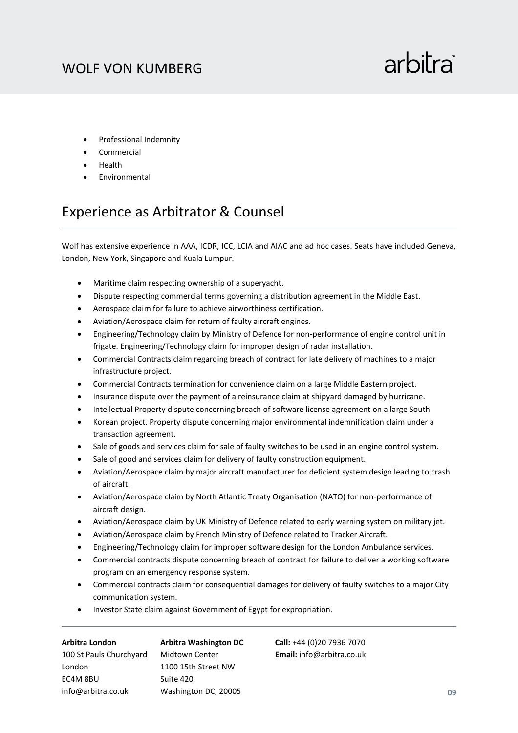- Professional Indemnity
- **Commercial**
- Health
- **Environmental**

#### Experience as Arbitrator & Counsel

Wolf has extensive experience in AAA, ICDR, ICC, LCIA and AIAC and ad hoc cases. Seats have included Geneva, London, New York, Singapore and Kuala Lumpur.

- Maritime claim respecting ownership of a superyacht.
- Dispute respecting commercial terms governing a distribution agreement in the Middle East.
- Aerospace claim for failure to achieve airworthiness certification.
- Aviation/Aerospace claim for return of faulty aircraft engines.
- Engineering/Technology claim by Ministry of Defence for non-performance of engine control unit in frigate. Engineering/Technology claim for improper design of radar installation.
- Commercial Contracts claim regarding breach of contract for late delivery of machines to a major infrastructure project.
- Commercial Contracts termination for convenience claim on a large Middle Eastern project.
- Insurance dispute over the payment of a reinsurance claim at shipyard damaged by hurricane.
- Intellectual Property dispute concerning breach of software license agreement on a large South
- Korean project. Property dispute concerning major environmental indemnification claim under a transaction agreement.
- Sale of goods and services claim for sale of faulty switches to be used in an engine control system.
- Sale of good and services claim for delivery of faulty construction equipment.
- Aviation/Aerospace claim by major aircraft manufacturer for deficient system design leading to crash of aircraft.
- Aviation/Aerospace claim by North Atlantic Treaty Organisation (NATO) for non-performance of aircraft design.
- Aviation/Aerospace claim by UK Ministry of Defence related to early warning system on military jet.
- Aviation/Aerospace claim by French Ministry of Defence related to Tracker Aircraft.
- Engineering/Technology claim for improper software design for the London Ambulance services.
- Commercial contracts dispute concerning breach of contract for failure to deliver a working software program on an emergency response system.
- Commercial contracts claim for consequential damages for delivery of faulty switches to a major City communication system.
- Investor State claim against Government of Egypt for expropriation.

| <b>Arbitra London</b>   | <b>Arbitra Washington DC</b> |
|-------------------------|------------------------------|
| 100 St Pauls Churchyard | Midtown Center               |
| London                  | 1100 15th Street NW          |
| EC4M 8BU                | Suite 420                    |
| info@arbitra.co.uk      | Washington DC, 20005         |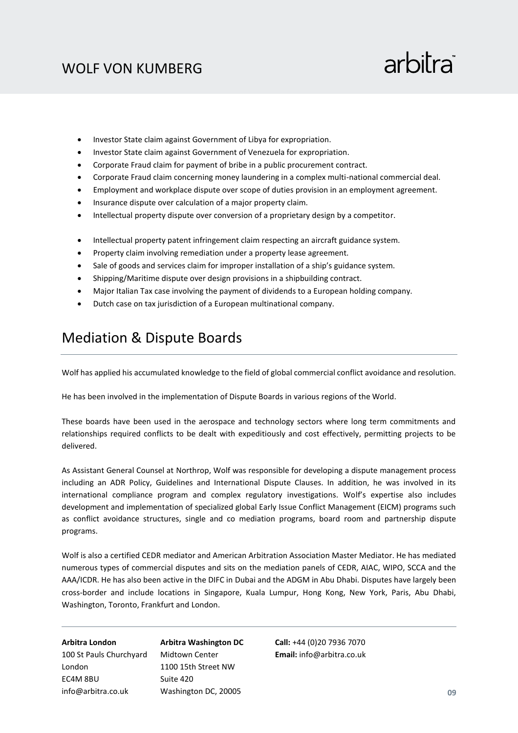## arbitra

- Investor State claim against Government of Libya for expropriation.
- Investor State claim against Government of Venezuela for expropriation.
- Corporate Fraud claim for payment of bribe in a public procurement contract.
- Corporate Fraud claim concerning money laundering in a complex multi-national commercial deal.
- Employment and workplace dispute over scope of duties provision in an employment agreement.
- Insurance dispute over calculation of a major property claim.
- Intellectual property dispute over conversion of a proprietary design by a competitor.
- Intellectual property patent infringement claim respecting an aircraft guidance system.
- Property claim involving remediation under a property lease agreement.
- Sale of goods and services claim for improper installation of a ship's guidance system.
- Shipping/Maritime dispute over design provisions in a shipbuilding contract.
- Major Italian Tax case involving the payment of dividends to a European holding company.
- Dutch case on tax jurisdiction of a European multinational company.

#### Mediation & Dispute Boards

Wolf has applied his accumulated knowledge to the field of global commercial conflict avoidance and resolution.

He has been involved in the implementation of Dispute Boards in various regions of the World.

These boards have been used in the aerospace and technology sectors where long term commitments and relationships required conflicts to be dealt with expeditiously and cost effectively, permitting projects to be delivered.

As Assistant General Counsel at Northrop, Wolf was responsible for developing a dispute management process including an ADR Policy, Guidelines and International Dispute Clauses. In addition, he was involved in its international compliance program and complex regulatory investigations. Wolf's expertise also includes development and implementation of specialized global Early Issue Conflict Management (EICM) programs such as conflict avoidance structures, single and co mediation programs, board room and partnership dispute programs.

Wolf is also a certified CEDR mediator and American Arbitration Association Master Mediator. He has mediated numerous types of commercial disputes and sits on the mediation panels of CEDR, AIAC, WIPO, SCCA and the AAA/ICDR. He has also been active in the DIFC in Dubai and the ADGM in Abu Dhabi. Disputes have largely been cross-border and include locations in Singapore, Kuala Lumpur, Hong Kong, New York, Paris, Abu Dhabi, Washington, Toronto, Frankfurt and London.

**Arbitra London** 100 St Pauls Churchyard London EC4M 8BU info@arbitra.co.uk

**Arbitra Washington DC** Midtown Center 1100 15th Street NW Suite 420 Washington DC, 20005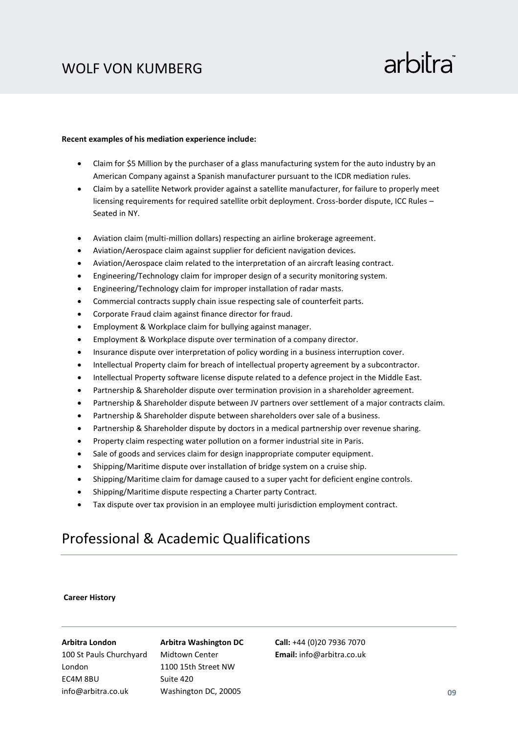## arbitra

#### **Recent examples of his mediation experience include:**

- Claim for \$5 Million by the purchaser of a glass manufacturing system for the auto industry by an American Company against a Spanish manufacturer pursuant to the ICDR mediation rules.
- Claim by a satellite Network provider against a satellite manufacturer, for failure to properly meet licensing requirements for required satellite orbit deployment. Cross-border dispute, ICC Rules – Seated in NY.
- Aviation claim (multi-million dollars) respecting an airline brokerage agreement.
- Aviation/Aerospace claim against supplier for deficient navigation devices.
- Aviation/Aerospace claim related to the interpretation of an aircraft leasing contract.
- Engineering/Technology claim for improper design of a security monitoring system.
- Engineering/Technology claim for improper installation of radar masts.
- Commercial contracts supply chain issue respecting sale of counterfeit parts.
- Corporate Fraud claim against finance director for fraud.
- Employment & Workplace claim for bullying against manager.
- Employment & Workplace dispute over termination of a company director.
- Insurance dispute over interpretation of policy wording in a business interruption cover.
- Intellectual Property claim for breach of intellectual property agreement by a subcontractor.
- Intellectual Property software license dispute related to a defence project in the Middle East.
- Partnership & Shareholder dispute over termination provision in a shareholder agreement.
- Partnership & Shareholder dispute between JV partners over settlement of a major contracts claim.
- Partnership & Shareholder dispute between shareholders over sale of a business.
- Partnership & Shareholder dispute by doctors in a medical partnership over revenue sharing.
- Property claim respecting water pollution on a former industrial site in Paris.
- Sale of goods and services claim for design inappropriate computer equipment.
- Shipping/Maritime dispute over installation of bridge system on a cruise ship.
- Shipping/Maritime claim for damage caused to a super yacht for deficient engine controls.
- Shipping/Maritime dispute respecting a Charter party Contract.
- Tax dispute over tax provision in an employee multi jurisdiction employment contract.

#### Professional & Academic Qualifications

#### **Career History**

#### **Arbitra London**

100 St Pauls Churchyard London EC4M 8BU info@arbitra.co.uk

#### **Arbitra Washington DC** Midtown Center 1100 15th Street NW

Washington DC, 20005

Suite 420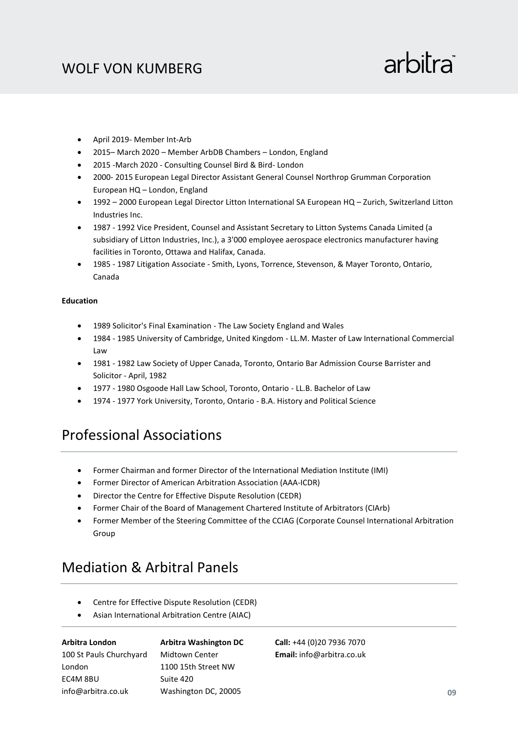## arbitra

- April 2019- Member Int-Arb
- 2015– March 2020 Member ArbDB Chambers London, England
- 2015 -March 2020 Consulting Counsel Bird & Bird- London
- 2000- 2015 European Legal Director Assistant General Counsel Northrop Grumman Corporation European HQ – London, England
- 1992 2000 European Legal Director Litton International SA European HQ Zurich, Switzerland Litton Industries Inc.
- 1987 1992 Vice President, Counsel and Assistant Secretary to Litton Systems Canada Limited (a subsidiary of Litton Industries, Inc.), a 3'000 employee aerospace electronics manufacturer having facilities in Toronto, Ottawa and Halifax, Canada.
- 1985 1987 Litigation Associate Smith, Lyons, Torrence, Stevenson, & Mayer Toronto, Ontario, Canada

#### **Education**

- 1989 Solicitor's Final Examination The Law Society England and Wales
- 1984 1985 University of Cambridge, United Kingdom LL.M. Master of Law International Commercial Law
- 1981 1982 Law Society of Upper Canada, Toronto, Ontario Bar Admission Course Barrister and Solicitor - April, 1982
- 1977 1980 Osgoode Hall Law School, Toronto, Ontario LL.B. Bachelor of Law
- 1974 1977 York University, Toronto, Ontario B.A. History and Political Science

#### Professional Associations

- Former Chairman and former Director of the International Mediation Institute (IMI)
- Former Director of American Arbitration Association (AAA-ICDR)
- Director the Centre for Effective Dispute Resolution (CEDR)
- Former Chair of the Board of Management Chartered Institute of Arbitrators (CIArb)
- Former Member of the Steering Committee of the CCIAG (Corporate Counsel International Arbitration Group

#### Mediation & Arbitral Panels

- Centre for Effective Dispute Resolution (CEDR)
- Asian International Arbitration Centre (AIAC)

**Arbitra London** 100 St Pauls Churchyard London EC4M 8BU info@arbitra.co.uk

**Arbitra Washington DC** Midtown Center 1100 15th Street NW Suite 420 Washington DC, 20005